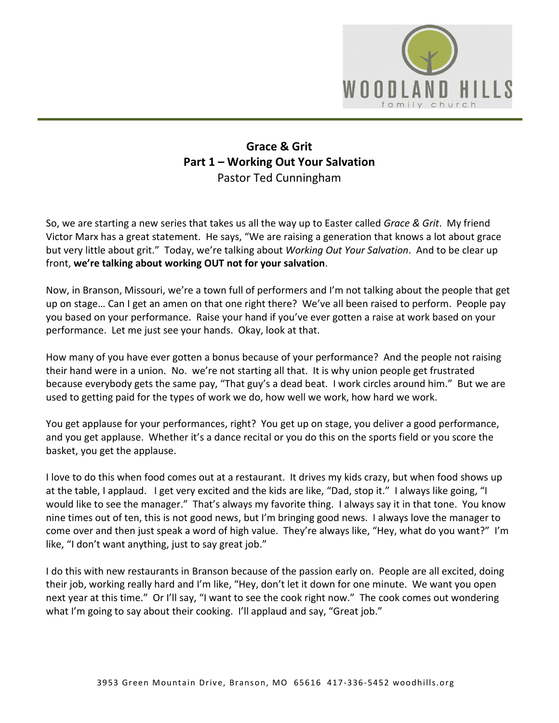

## **Grace & Grit Part 1 – Working Out Your Salvation** Pastor Ted Cunningham

So, we are starting a new series that takes us all the way up to Easter called *Grace & Grit*. My friend Victor Marx has a great statement. He says, "We are raising a generation that knows a lot about grace but very little about grit." Today, we're talking about *Working Out Your Salvation*. And to be clear up front, **we're talking about working OUT not for your salvation**.

Now, in Branson, Missouri, we're a town full of performers and I'm not talking about the people that get up on stage… Can I get an amen on that one right there? We've all been raised to perform. People pay you based on your performance. Raise your hand if you've ever gotten a raise at work based on your performance. Let me just see your hands. Okay, look at that.

How many of you have ever gotten a bonus because of your performance? And the people not raising their hand were in a union. No. we're not starting all that. It is why union people get frustrated because everybody gets the same pay, "That guy's a dead beat. I work circles around him." But we are used to getting paid for the types of work we do, how well we work, how hard we work.

You get applause for your performances, right? You get up on stage, you deliver a good performance, and you get applause. Whether it's a dance recital or you do this on the sports field or you score the basket, you get the applause.

I love to do this when food comes out at a restaurant. It drives my kids crazy, but when food shows up at the table, I applaud. I get very excited and the kids are like, "Dad, stop it." I always like going, "I would like to see the manager." That's always my favorite thing. I always say it in that tone. You know nine times out of ten, this is not good news, but I'm bringing good news. I always love the manager to come over and then just speak a word of high value. They're always like, "Hey, what do you want?" I'm like, "I don't want anything, just to say great job."

I do this with new restaurants in Branson because of the passion early on. People are all excited, doing their job, working really hard and I'm like, "Hey, don't let it down for one minute. We want you open next year at this time." Or I'll say, "I want to see the cook right now." The cook comes out wondering what I'm going to say about their cooking. I'll applaud and say, "Great job."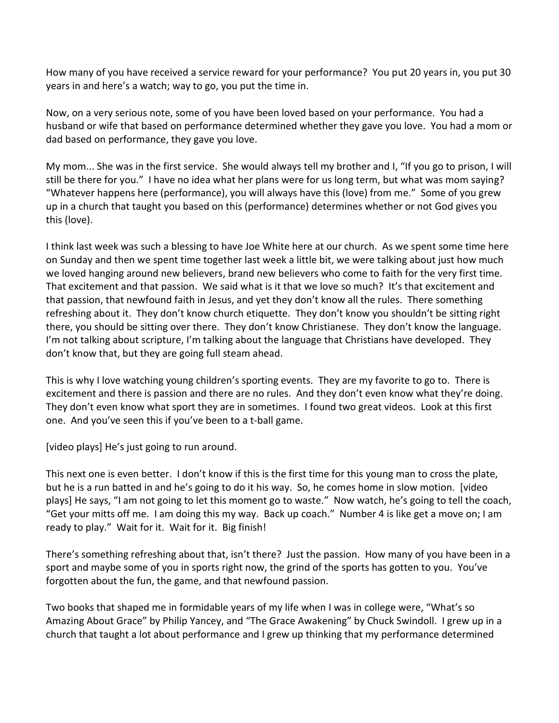How many of you have received a service reward for your performance? You put 20 years in, you put 30 years in and here's a watch; way to go, you put the time in.

Now, on a very serious note, some of you have been loved based on your performance. You had a husband or wife that based on performance determined whether they gave you love. You had a mom or dad based on performance, they gave you love.

My mom... She was in the first service. She would always tell my brother and I, "If you go to prison, I will still be there for you." I have no idea what her plans were for us long term, but what was mom saying? "Whatever happens here (performance), you will always have this (love) from me." Some of you grew up in a church that taught you based on this (performance) determines whether or not God gives you this (love).

I think last week was such a blessing to have Joe White here at our church. As we spent some time here on Sunday and then we spent time together last week a little bit, we were talking about just how much we loved hanging around new believers, brand new believers who come to faith for the very first time. That excitement and that passion. We said what is it that we love so much? It's that excitement and that passion, that newfound faith in Jesus, and yet they don't know all the rules. There something refreshing about it. They don't know church etiquette. They don't know you shouldn't be sitting right there, you should be sitting over there. They don't know Christianese. They don't know the language. I'm not talking about scripture, I'm talking about the language that Christians have developed. They don't know that, but they are going full steam ahead.

This is why I love watching young children's sporting events. They are my favorite to go to. There is excitement and there is passion and there are no rules. And they don't even know what they're doing. They don't even know what sport they are in sometimes. I found two great videos. Look at this first one. And you've seen this if you've been to a t-ball game.

[video plays] He's just going to run around.

This next one is even better. I don't know if this is the first time for this young man to cross the plate, but he is a run batted in and he's going to do it his way. So, he comes home in slow motion. [video plays] He says, "I am not going to let this moment go to waste." Now watch, he's going to tell the coach, "Get your mitts off me. I am doing this my way. Back up coach." Number 4 is like get a move on; I am ready to play." Wait for it. Wait for it. Big finish!

There's something refreshing about that, isn't there? Just the passion. How many of you have been in a sport and maybe some of you in sports right now, the grind of the sports has gotten to you. You've forgotten about the fun, the game, and that newfound passion.

Two books that shaped me in formidable years of my life when I was in college were, "What's so Amazing About Grace" by Philip Yancey, and "The Grace Awakening" by Chuck Swindoll. I grew up in a church that taught a lot about performance and I grew up thinking that my performance determined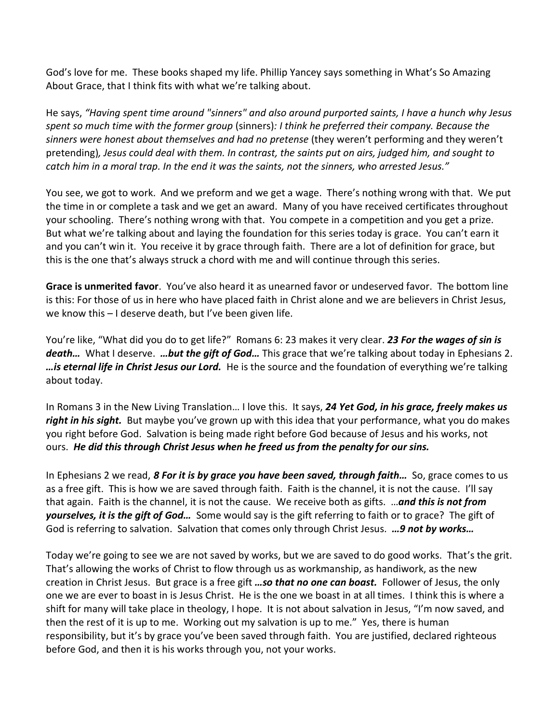God's love for me. These books shaped my life. Phillip Yancey says something in What's So Amazing About Grace, that I think fits with what we're talking about.

He says, *"Having spent time around "sinners" and also around purported saints, I have a hunch why Jesus spent so much time with the former group* (sinners)*: I think he preferred their company. Because the sinners were honest about themselves and had no pretense* (they weren't performing and they weren't pretending)*, Jesus could deal with them. In contrast, the saints put on airs, judged him, and sought to catch him in a moral trap. In the end it was the saints, not the sinners, who arrested Jesus."*

You see, we got to work. And we preform and we get a wage. There's nothing wrong with that. We put the time in or complete a task and we get an award. Many of you have received certificates throughout your schooling. There's nothing wrong with that. You compete in a competition and you get a prize. But what we're talking about and laying the foundation for this series today is grace. You can't earn it and you can't win it. You receive it by grace through faith. There are a lot of definition for grace, but this is the one that's always struck a chord with me and will continue through this series.

**Grace is unmerited favor**. You've also heard it as unearned favor or undeserved favor. The bottom line is this: For those of us in here who have placed faith in Christ alone and we are believers in Christ Jesus, we know this – I deserve death, but I've been given life.

You're like, "What did you do to get life?" Romans 6: 23 makes it very clear. *23 For the wages of sin is death…* What I deserve. *…but the gift of God…* This grace that we're talking about today in Ephesians 2. *…is eternal life in Christ Jesus our Lord.* He is the source and the foundation of everything we're talking about today.

In Romans 3 in the New Living Translation… I love this. It says, *24 Yet God, in his grace, freely makes us right in his sight.* But maybe you've grown up with this idea that your performance, what you do makes you right before God. Salvation is being made right before God because of Jesus and his works, not ours. *He did this through Christ Jesus when he freed us from the penalty for our sins.*

In Ephesians 2 we read, *8 For it is by grace you have been saved, through faith…* So, grace comes to us as a free gift. This is how we are saved through faith. Faith is the channel, it is not the cause. I'll say that again. Faith is the channel, it is not the cause. We receive both as gifts. …*and this is not from yourselves, it is the gift of God…* Some would say is the gift referring to faith or to grace? The gift of God is referring to salvation. Salvation that comes only through Christ Jesus. *…9 not by works…*

Today we're going to see we are not saved by works, but we are saved to do good works. That's the grit. That's allowing the works of Christ to flow through us as workmanship, as handiwork, as the new creation in Christ Jesus. But grace is a free gift *…so that no one can boast.* Follower of Jesus, the only one we are ever to boast in is Jesus Christ. He is the one we boast in at all times. I think this is where a shift for many will take place in theology, I hope. It is not about salvation in Jesus, "I'm now saved, and then the rest of it is up to me. Working out my salvation is up to me." Yes, there is human responsibility, but it's by grace you've been saved through faith. You are justified, declared righteous before God, and then it is his works through you, not your works.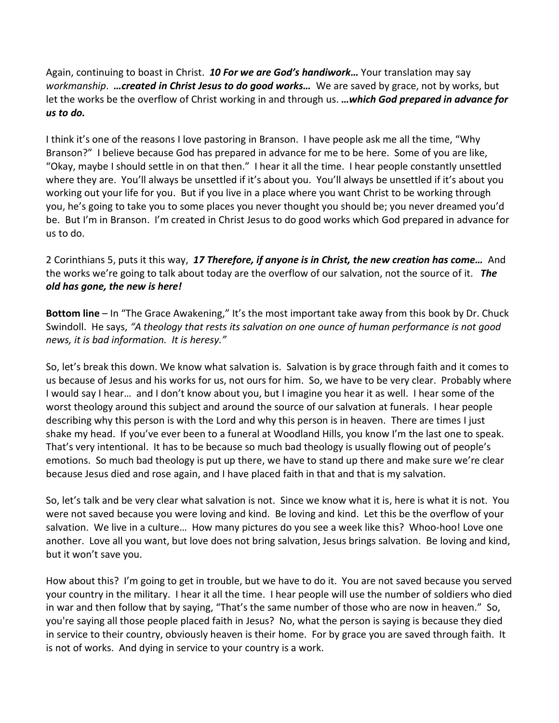Again, continuing to boast in Christ. *10 For we are God's handiwork…* Your translation may say *workmanship*. *…created in Christ Jesus to do good works…* We are saved by grace, not by works, but let the works be the overflow of Christ working in and through us. *…which God prepared in advance for us to do.*

I think it's one of the reasons I love pastoring in Branson. I have people ask me all the time, "Why Branson?" I believe because God has prepared in advance for me to be here. Some of you are like, "Okay, maybe I should settle in on that then." I hear it all the time. I hear people constantly unsettled where they are. You'll always be unsettled if it's about you. You'll always be unsettled if it's about you working out your life for you. But if you live in a place where you want Christ to be working through you, he's going to take you to some places you never thought you should be; you never dreamed you'd be. But I'm in Branson. I'm created in Christ Jesus to do good works which God prepared in advance for us to do.

2 Corinthians 5, puts it this way, *17 Therefore, if anyone is in Christ, the new creation has come…* And the works we're going to talk about today are the overflow of our salvation, not the source of it. *The old has gone, the new is here!*

**Bottom line** – In "The Grace Awakening," It's the most important take away from this book by Dr. Chuck Swindoll. He says, *"A theology that rests its salvation on one ounce of human performance is not good news, it is bad information. It is heresy."*

So, let's break this down. We know what salvation is. Salvation is by grace through faith and it comes to us because of Jesus and his works for us, not ours for him. So, we have to be very clear. Probably where I would say I hear… and I don't know about you, but I imagine you hear it as well. I hear some of the worst theology around this subject and around the source of our salvation at funerals. I hear people describing why this person is with the Lord and why this person is in heaven. There are times I just shake my head. If you've ever been to a funeral at Woodland Hills, you know I'm the last one to speak. That's very intentional. It has to be because so much bad theology is usually flowing out of people's emotions. So much bad theology is put up there, we have to stand up there and make sure we're clear because Jesus died and rose again, and I have placed faith in that and that is my salvation.

So, let's talk and be very clear what salvation is not. Since we know what it is, here is what it is not. You were not saved because you were loving and kind. Be loving and kind. Let this be the overflow of your salvation. We live in a culture… How many pictures do you see a week like this? Whoo-hoo! Love one another. Love all you want, but love does not bring salvation, Jesus brings salvation. Be loving and kind, but it won't save you.

How about this? I'm going to get in trouble, but we have to do it. You are not saved because you served your country in the military. I hear it all the time. I hear people will use the number of soldiers who died in war and then follow that by saying, "That's the same number of those who are now in heaven." So, you're saying all those people placed faith in Jesus? No, what the person is saying is because they died in service to their country, obviously heaven is their home. For by grace you are saved through faith. It is not of works. And dying in service to your country is a work.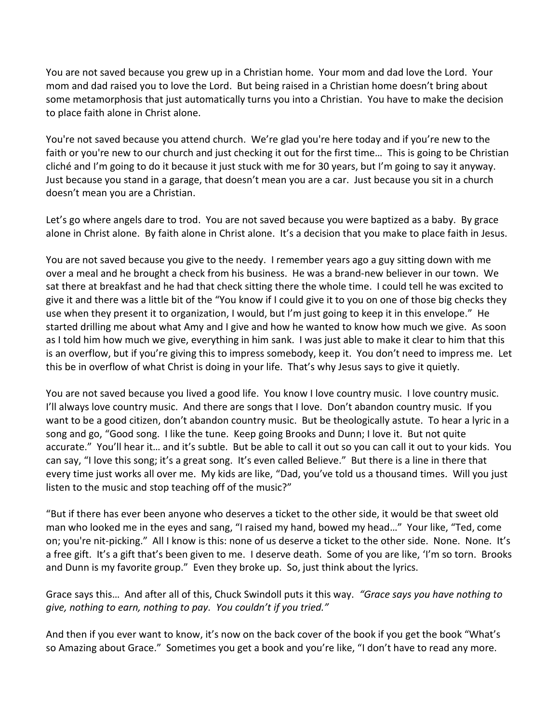You are not saved because you grew up in a Christian home. Your mom and dad love the Lord. Your mom and dad raised you to love the Lord. But being raised in a Christian home doesn't bring about some metamorphosis that just automatically turns you into a Christian. You have to make the decision to place faith alone in Christ alone.

You're not saved because you attend church. We're glad you're here today and if you're new to the faith or you're new to our church and just checking it out for the first time... This is going to be Christian cliché and I'm going to do it because it just stuck with me for 30 years, but I'm going to say it anyway. Just because you stand in a garage, that doesn't mean you are a car. Just because you sit in a church doesn't mean you are a Christian.

Let's go where angels dare to trod. You are not saved because you were baptized as a baby. By grace alone in Christ alone. By faith alone in Christ alone. It's a decision that you make to place faith in Jesus.

You are not saved because you give to the needy. I remember years ago a guy sitting down with me over a meal and he brought a check from his business. He was a brand-new believer in our town. We sat there at breakfast and he had that check sitting there the whole time. I could tell he was excited to give it and there was a little bit of the "You know if I could give it to you on one of those big checks they use when they present it to organization, I would, but I'm just going to keep it in this envelope." He started drilling me about what Amy and I give and how he wanted to know how much we give. As soon as I told him how much we give, everything in him sank. I was just able to make it clear to him that this is an overflow, but if you're giving this to impress somebody, keep it. You don't need to impress me. Let this be in overflow of what Christ is doing in your life. That's why Jesus says to give it quietly.

You are not saved because you lived a good life. You know I love country music. I love country music. I'll always love country music. And there are songs that I love. Don't abandon country music. If you want to be a good citizen, don't abandon country music. But be theologically astute. To hear a lyric in a song and go, "Good song. I like the tune. Keep going Brooks and Dunn; I love it. But not quite accurate." You'll hear it… and it's subtle. But be able to call it out so you can call it out to your kids. You can say, "I love this song; it's a great song. It's even called Believe." But there is a line in there that every time just works all over me. My kids are like, "Dad, you've told us a thousand times. Will you just listen to the music and stop teaching off of the music?"

"But if there has ever been anyone who deserves a ticket to the other side, it would be that sweet old man who looked me in the eyes and sang, "I raised my hand, bowed my head…" Your like, "Ted, come on; you're nit-picking." All I know is this: none of us deserve a ticket to the other side. None. None. It's a free gift. It's a gift that's been given to me. I deserve death. Some of you are like, 'I'm so torn. Brooks and Dunn is my favorite group." Even they broke up. So, just think about the lyrics.

Grace says this… And after all of this, Chuck Swindoll puts it this way. *"Grace says you have nothing to give, nothing to earn, nothing to pay. You couldn't if you tried."*

And then if you ever want to know, it's now on the back cover of the book if you get the book "What's so Amazing about Grace." Sometimes you get a book and you're like, "I don't have to read any more.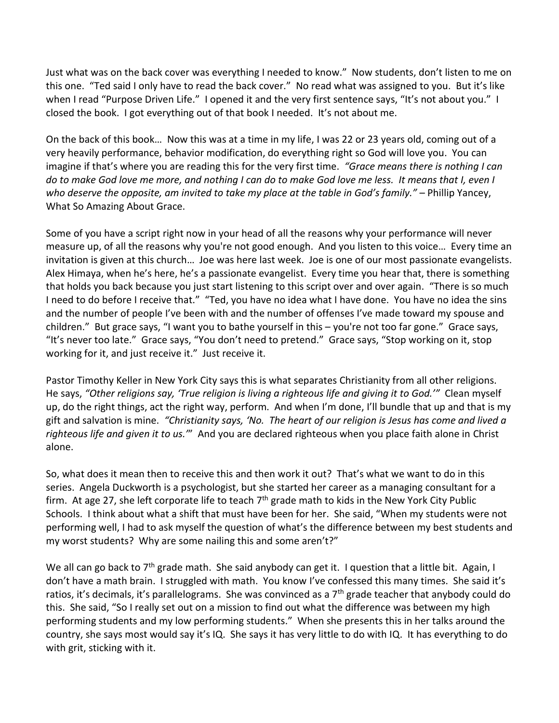Just what was on the back cover was everything I needed to know." Now students, don't listen to me on this one. "Ted said I only have to read the back cover." No read what was assigned to you. But it's like when I read "Purpose Driven Life." I opened it and the very first sentence says, "It's not about you." I closed the book. I got everything out of that book I needed. It's not about me.

On the back of this book… Now this was at a time in my life, I was 22 or 23 years old, coming out of a very heavily performance, behavior modification, do everything right so God will love you. You can imagine if that's where you are reading this for the very first time. *"Grace means there is nothing I can do to make God love me more, and nothing I can do to make God love me less. It means that I, even I who deserve the opposite, am invited to take my place at the table in God's family."* – Phillip Yancey, What So Amazing About Grace.

Some of you have a script right now in your head of all the reasons why your performance will never measure up, of all the reasons why you're not good enough. And you listen to this voice… Every time an invitation is given at this church… Joe was here last week. Joe is one of our most passionate evangelists. Alex Himaya, when he's here, he's a passionate evangelist. Every time you hear that, there is something that holds you back because you just start listening to this script over and over again. "There is so much I need to do before I receive that." "Ted, you have no idea what I have done. You have no idea the sins and the number of people I've been with and the number of offenses I've made toward my spouse and children." But grace says, "I want you to bathe yourself in this – you're not too far gone." Grace says, "It's never too late." Grace says, "You don't need to pretend." Grace says, "Stop working on it, stop working for it, and just receive it." Just receive it.

Pastor Timothy Keller in New York City says this is what separates Christianity from all other religions. He says, *"Other religions say, 'True religion is living a righteous life and giving it to God.'"* Clean myself up, do the right things, act the right way, perform. And when I'm done, I'll bundle that up and that is my gift and salvation is mine. *"Christianity says, 'No. The heart of our religion is Jesus has come and lived a righteous life and given it to us.'*" And you are declared righteous when you place faith alone in Christ alone.

So, what does it mean then to receive this and then work it out? That's what we want to do in this series. Angela Duckworth is a psychologist, but she started her career as a managing consultant for a firm. At age 27, she left corporate life to teach  $7<sup>th</sup>$  grade math to kids in the New York City Public Schools. I think about what a shift that must have been for her. She said, "When my students were not performing well, I had to ask myself the question of what's the difference between my best students and my worst students? Why are some nailing this and some aren't?"

We all can go back to 7<sup>th</sup> grade math. She said anybody can get it. I question that a little bit. Again, I don't have a math brain. I struggled with math. You know I've confessed this many times. She said it's ratios, it's decimals, it's parallelograms. She was convinced as a  $7<sup>th</sup>$  grade teacher that anybody could do this. She said, "So I really set out on a mission to find out what the difference was between my high performing students and my low performing students." When she presents this in her talks around the country, she says most would say it's IQ. She says it has very little to do with IQ. It has everything to do with grit, sticking with it.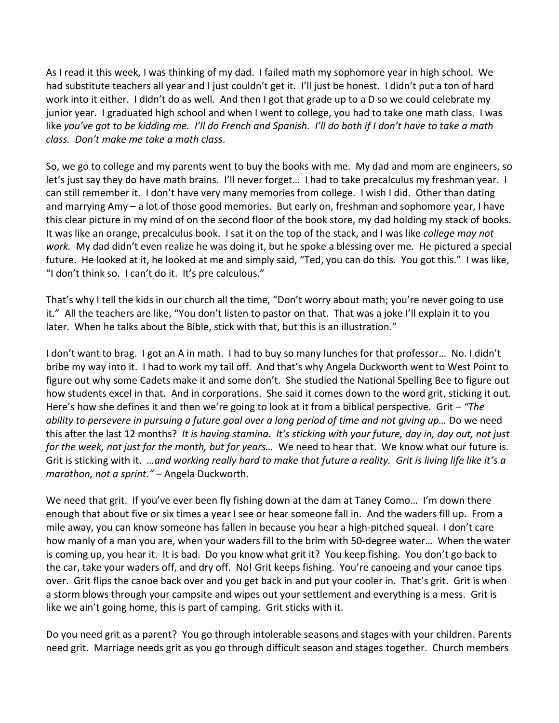As I read it this week, I was thinking of my dad. I failed math my sophomore year in high school. We had substitute teachers all year and I just couldn't get it. I'll just be honest. I didn't put a ton of hard work into it either. I didn't do as well. And then I got that grade up to a D so we could celebrate my junior year. I graduated high school and when I went to college, you had to take one math class. I was like *you've got to be kidding me. I'll do French and Spanish. I'll do both if I don't have to take a math class. Don't make me take a math class*.

So, we go to college and my parents went to buy the books with me. My dad and mom are engineers, so let's just say they do have math brains. I'll never forget… I had to take precalculus my freshman year. I can still remember it. I don't have very many memories from college. I wish I did. Other than dating and marrying Amy – a lot of those good memories. But early on, freshman and sophomore year, I have this clear picture in my mind of on the second floor of the book store, my dad holding my stack of books. It was like an orange, precalculus book. I sat it on the top of the stack, and I was like *college may not work.* My dad didn't even realize he was doing it, but he spoke a blessing over me. He pictured a special future. He looked at it, he looked at me and simply said, "Ted, you can do this. You got this." I was like, "I don't think so. I can't do it. It's pre calculous."

That's why I tell the kids in our church all the time, "Don't worry about math; you're never going to use it." All the teachers are like, "You don't listen to pastor on that. That was a joke I'll explain it to you later. When he talks about the Bible, stick with that, but this is an illustration."

I don't want to brag. I got an A in math. I had to buy so many lunches for that professor… No. I didn't bribe my way into it. I had to work my tail off. And that's why Angela Duckworth went to West Point to figure out why some Cadets make it and some don't. She studied the National Spelling Bee to figure out how students excel in that. And in corporations. She said it comes down to the word grit, sticking it out. Here's how she defines it and then we're going to look at it from a biblical perspective. Grit – *"The ability to persevere in pursuing a future goal over a long period of time and not giving up…* Do we need this after the last 12 months? *It is having stamina. It's sticking with your future, day in, day out, not just for the week, not just for the month, but for years…*We need to hear that. We know what our future is. Grit is sticking with it. *…and working really hard to make that future a reality. Grit is living life like it's a marathon, not a sprint."* – Angela Duckworth.

We need that grit. If you've ever been fly fishing down at the dam at Taney Como... I'm down there enough that about five or six times a year I see or hear someone fall in. And the waders fill up. From a mile away, you can know someone has fallen in because you hear a high-pitched squeal. I don't care how manly of a man you are, when your waders fill to the brim with 50-degree water… When the water is coming up, you hear it. It is bad. Do you know what grit it? You keep fishing. You don't go back to the car, take your waders off, and dry off. No! Grit keeps fishing. You're canoeing and your canoe tips over. Grit flips the canoe back over and you get back in and put your cooler in. That's grit. Grit is when a storm blows through your campsite and wipes out your settlement and everything is a mess. Grit is like we ain't going home, this is part of camping. Grit sticks with it.

Do you need grit as a parent? You go through intolerable seasons and stages with your children. Parents need grit. Marriage needs grit as you go through difficult season and stages together. Church members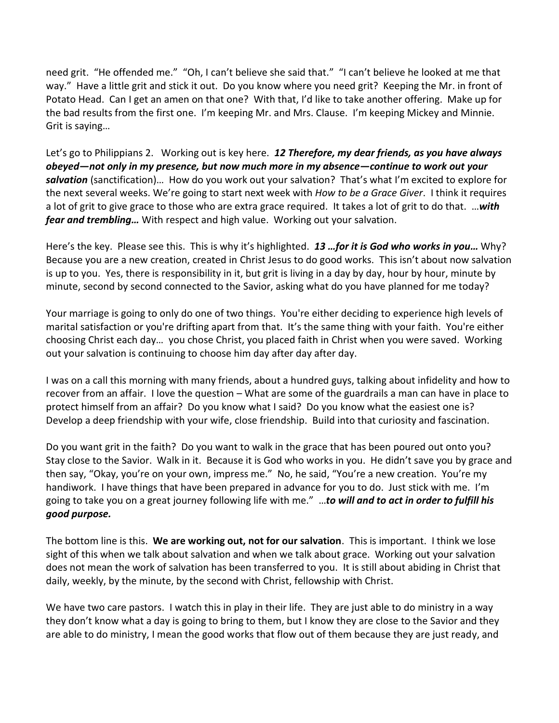need grit. "He offended me." "Oh, I can't believe she said that." "I can't believe he looked at me that way." Have a little grit and stick it out. Do you know where you need grit? Keeping the Mr. in front of Potato Head. Can I get an amen on that one? With that, I'd like to take another offering. Make up for the bad results from the first one. I'm keeping Mr. and Mrs. Clause. I'm keeping Mickey and Minnie. Grit is saying…

Let's go to Philippians 2. Working out is key here. *12 Therefore, my dear friends, as you have always obeyed—not only in my presence, but now much more in my absence—continue to work out your salvation* (sanctification)…How do you work out your salvation? That's what I'm excited to explore for the next several weeks. We're going to start next week with *How to be a Grace Giver*. I think it requires a lot of grit to give grace to those who are extra grace required. It takes a lot of grit to do that. …*with fear and trembling…* With respect and high value. Working out your salvation.

Here's the key. Please see this. This is why it's highlighted. *13 …for it is God who works in you…* Why? Because you are a new creation, created in Christ Jesus to do good works. This isn't about now salvation is up to you. Yes, there is responsibility in it, but grit is living in a day by day, hour by hour, minute by minute, second by second connected to the Savior, asking what do you have planned for me today?

Your marriage is going to only do one of two things. You're either deciding to experience high levels of marital satisfaction or you're drifting apart from that. It's the same thing with your faith. You're either choosing Christ each day… you chose Christ, you placed faith in Christ when you were saved. Working out your salvation is continuing to choose him day after day after day.

I was on a call this morning with many friends, about a hundred guys, talking about infidelity and how to recover from an affair. I love the question – What are some of the guardrails a man can have in place to protect himself from an affair? Do you know what I said? Do you know what the easiest one is? Develop a deep friendship with your wife, close friendship. Build into that curiosity and fascination.

Do you want grit in the faith? Do you want to walk in the grace that has been poured out onto you? Stay close to the Savior. Walk in it. Because it is God who works in you. He didn't save you by grace and then say, "Okay, you're on your own, impress me." No, he said, "You're a new creation. You're my handiwork. I have things that have been prepared in advance for you to do. Just stick with me. I'm going to take you on a great journey following life with me." …*to will and to act in order to fulfill his good purpose.*

The bottom line is this. **We are working out, not for our salvation**. This is important. I think we lose sight of this when we talk about salvation and when we talk about grace. Working out your salvation does not mean the work of salvation has been transferred to you. It is still about abiding in Christ that daily, weekly, by the minute, by the second with Christ, fellowship with Christ.

We have two care pastors. I watch this in play in their life. They are just able to do ministry in a way they don't know what a day is going to bring to them, but I know they are close to the Savior and they are able to do ministry, I mean the good works that flow out of them because they are just ready, and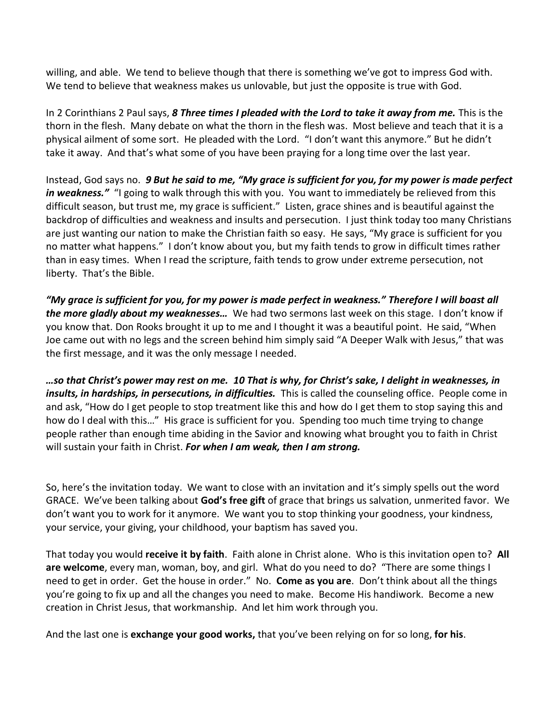willing, and able. We tend to believe though that there is something we've got to impress God with. We tend to believe that weakness makes us unlovable, but just the opposite is true with God.

In 2 Corinthians 2 Paul says, *8 Three times I pleaded with the Lord to take it away from me.* This is the thorn in the flesh. Many debate on what the thorn in the flesh was. Most believe and teach that it is a physical ailment of some sort. He pleaded with the Lord. "I don't want this anymore." But he didn't take it away. And that's what some of you have been praying for a long time over the last year.

Instead, God says no. *9 But he said to me, "My grace is sufficient for you, for my power is made perfect*  in weakness." "I going to walk through this with you. You want to immediately be relieved from this difficult season, but trust me, my grace is sufficient." Listen, grace shines and is beautiful against the backdrop of difficulties and weakness and insults and persecution. I just think today too many Christians are just wanting our nation to make the Christian faith so easy. He says, "My grace is sufficient for you no matter what happens." I don't know about you, but my faith tends to grow in difficult times rather than in easy times. When I read the scripture, faith tends to grow under extreme persecution, not liberty. That's the Bible.

*"My grace is sufficient for you, for my power is made perfect in weakness." Therefore I will boast all the more gladly about my weaknesses…* We had two sermons last week on this stage. I don't know if you know that. Don Rooks brought it up to me and I thought it was a beautiful point. He said, "When Joe came out with no legs and the screen behind him simply said "A Deeper Walk with Jesus," that was the first message, and it was the only message I needed.

*…so that Christ's power may rest on me. 10 That is why, for Christ's sake, I delight in weaknesses, in insults, in hardships, in persecutions, in difficulties.* This is called the counseling office. People come in and ask, "How do I get people to stop treatment like this and how do I get them to stop saying this and how do I deal with this…" His grace is sufficient for you. Spending too much time trying to change people rather than enough time abiding in the Savior and knowing what brought you to faith in Christ will sustain your faith in Christ. *For when I am weak, then I am strong.*

So, here's the invitation today. We want to close with an invitation and it's simply spells out the word GRACE. We've been talking about **God's free gift** of grace that brings us salvation, unmerited favor. We don't want you to work for it anymore. We want you to stop thinking your goodness, your kindness, your service, your giving, your childhood, your baptism has saved you.

That today you would **receive it by faith**. Faith alone in Christ alone. Who is this invitation open to? **All are welcome**, every man, woman, boy, and girl. What do you need to do? "There are some things I need to get in order. Get the house in order." No. **Come as you are**. Don't think about all the things you're going to fix up and all the changes you need to make. Become His handiwork. Become a new creation in Christ Jesus, that workmanship. And let him work through you.

And the last one is **exchange your good works,** that you've been relying on for so long, **for his**.